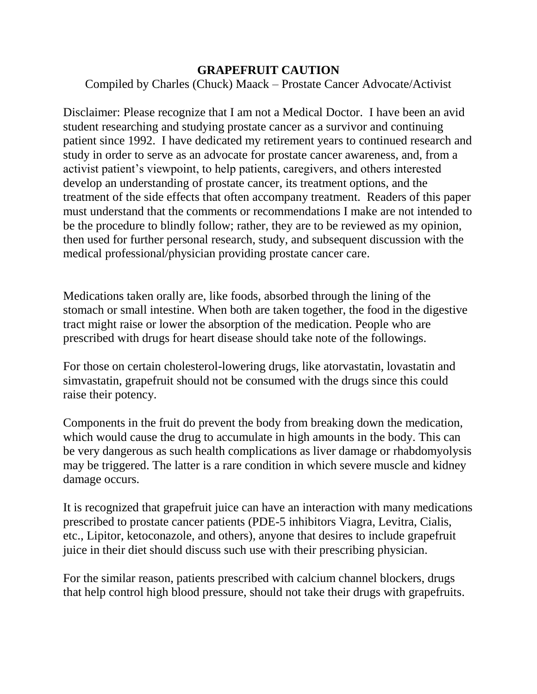## **GRAPEFRUIT CAUTION**

Compiled by Charles (Chuck) Maack – Prostate Cancer Advocate/Activist

Disclaimer: Please recognize that I am not a Medical Doctor. I have been an avid student researching and studying prostate cancer as a survivor and continuing patient since 1992. I have dedicated my retirement years to continued research and study in order to serve as an advocate for prostate cancer awareness, and, from a activist patient's viewpoint, to help patients, caregivers, and others interested develop an understanding of prostate cancer, its treatment options, and the treatment of the side effects that often accompany treatment. Readers of this paper must understand that the comments or recommendations I make are not intended to be the procedure to blindly follow; rather, they are to be reviewed as my opinion, then used for further personal research, study, and subsequent discussion with the medical professional/physician providing prostate cancer care.

Medications taken orally are, like foods, absorbed through the lining of the stomach or small intestine. When both are taken together, the food in the digestive tract might raise or lower the absorption of the medication. People who are prescribed with drugs for heart disease should take note of the followings.

For those on certain cholesterol-lowering drugs, like atorvastatin, lovastatin and simvastatin, grapefruit should not be consumed with the drugs since this could raise their potency.

Components in the fruit do prevent the body from breaking down the medication, which would cause the drug to accumulate in high amounts in the body. This can be very dangerous as such health complications as liver damage or rhabdomyolysis may be triggered. The latter is a rare condition in which severe muscle and kidney damage occurs.

It is recognized that grapefruit juice can have an interaction with many medications prescribed to prostate cancer patients (PDE-5 inhibitors Viagra, Levitra, Cialis, etc., Lipitor, ketoconazole, and others), anyone that desires to include grapefruit juice in their diet should discuss such use with their prescribing physician.

For the similar reason, patients prescribed with calcium channel blockers, drugs that help control high blood pressure, should not take their drugs with grapefruits.